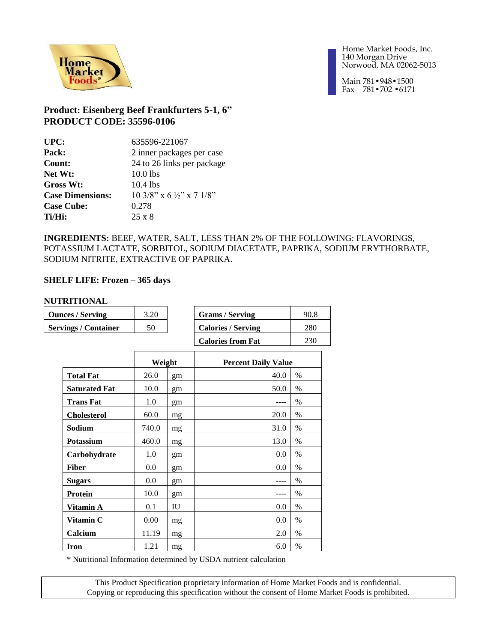

Main 781•948•1500 Fax 781•702 •6171

## **Product: Eisenberg Beef Frankfurters 5-1, 6" PRODUCT CODE: 35596-0106**

| UPC:                    | 635596-221067                        |
|-------------------------|--------------------------------------|
| Pack:                   | 2 inner packages per case            |
| Count:                  | 24 to 26 links per package           |
| Net Wt:                 | $10.0$ lbs                           |
| Gross Wt:               | $10.4$ lbs                           |
| <b>Case Dimensions:</b> | 10 3/8" x 6 $\frac{1}{2}$ " x 7 1/8" |
| <b>Case Cube:</b>       | 0.278                                |
| Ti/Hi:                  | $25 \times 8$                        |
|                         |                                      |

**INGREDIENTS:** BEEF, WATER, SALT, LESS THAN 2% OF THE FOLLOWING: FLAVORINGS, POTASSIUM LACTATE, SORBITOL, SODIUM DIACETATE, PAPRIKA, SODIUM ERYTHORBATE, SODIUM NITRITE, EXTRACTIVE OF PAPRIKA.

### **SHELF LIFE: Frozen – 365 days**

#### **NUTRITIONAL**

| <b>Ounces / Serving</b>     | 3.20 | <b>Grams / Serving</b>    | 90.8 |
|-----------------------------|------|---------------------------|------|
| <b>Servings / Container</b> | 50   | <b>Calories / Serving</b> | 280  |
|                             |      | <b>Calories from Fat</b>  | 230  |

|                      | Weight |    | <b>Percent Daily Value</b> |      |
|----------------------|--------|----|----------------------------|------|
| <b>Total Fat</b>     | 26.0   | gm | 40.0                       | $\%$ |
| <b>Saturated Fat</b> | 10.0   | gm | 50.0                       | $\%$ |
| <b>Trans Fat</b>     | 1.0    | gm |                            | $\%$ |
| <b>Cholesterol</b>   | 60.0   | mg | 20.0                       | $\%$ |
| Sodium               | 740.0  | mg | 31.0                       | $\%$ |
| <b>Potassium</b>     | 460.0  | mg | 13.0                       | $\%$ |
| Carbohydrate         | 1.0    | gm | 0.0                        | $\%$ |
| Fiber                | 0.0    | gm | 0.0                        | %    |
| <b>Sugars</b>        | 0.0    | gm |                            | $\%$ |
| <b>Protein</b>       | 10.0   | gm |                            | $\%$ |
| Vitamin A            | 0.1    | IU | 0.0                        | $\%$ |
| Vitamin C            | 0.00   | mg | 0.0                        | $\%$ |
| Calcium              | 11.19  | mg | 2.0                        | $\%$ |
| Iron                 | 1.21   | mg | 6.0                        | $\%$ |

\* Nutritional Information determined by USDA nutrient calculation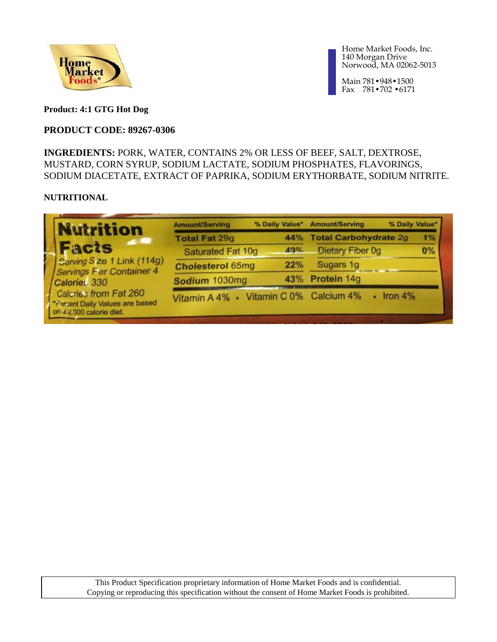

Main 781•948•1500 Fax 781•702 •6171

**Product: 4:1 GTG Hot Dog**

## **PRODUCT CODE: 89267-0306**

**INGREDIENTS:** PORK, WATER, CONTAINS 2% OR LESS OF BEEF, SALT, DEXTROSE, MUSTARD, CORN SYRUP, SODIUM LACTATE, SODIUM PHOSPHATES, FLAVORINGS, SODIUM DIACETATE, EXTRACT OF PAPRIKA, SODIUM ERYTHORBATE, SODIUM NITRITE.

### **NUTRITIONAL**

| <b>Nutrition</b>                                                                     | <b>Amount/Serving</b>                  | % Daily Value* | <b>Amount/Serving</b>        | % Daily Value* |
|--------------------------------------------------------------------------------------|----------------------------------------|----------------|------------------------------|----------------|
| $\mathcal{L}$                                                                        | <b>Total Fat 29g</b>                   | 44%            | <b>Total Carbohydrate 2g</b> | 1%             |
| Facts                                                                                | Saturated Fat 10g                      | 49%            | Dietary Fiber 0g             | 0%             |
| Sarving Size 1 Link (114g)<br><b>Servings Fer Container 4</b>                        | <b>Cholesterol 65mg</b>                | 22%            | Sugars 1g                    |                |
| Calories <sub>330</sub>                                                              | Sodium 1030mg                          | 43%            | Protein 14g                  |                |
| Calcries from Fat 260<br>*Fersent Daily Values are based<br>on a 2,000 calorie diet. | Vitamin A 4% · Vitamin C 0% Calcium 4% |                |                              | Iron $4\%$     |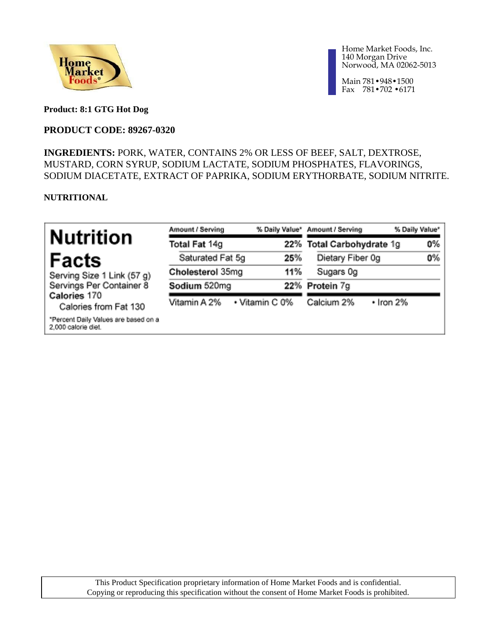

Main 781•948•1500 Fax 781•702 •6171

**Product: 8:1 GTG Hot Dog**

## **PRODUCT CODE: 89267-0320**

## **INGREDIENTS:** PORK, WATER, CONTAINS 2% OR LESS OF BEEF, SALT, DEXTROSE, MUSTARD, CORN SYRUP, SODIUM LACTATE, SODIUM PHOSPHATES, FLAVORINGS, SODIUM DIACETATE, EXTRACT OF PAPRIKA, SODIUM ERYTHORBATE, SODIUM NITRITE.

### **NUTRITIONAL**

| <b>Nutrition</b>                                            | Amount / Serving |                | % Daily Value" Amount / Serving | % Daily Value" |
|-------------------------------------------------------------|------------------|----------------|---------------------------------|----------------|
|                                                             | Total Fat 14g    |                | 22% Total Carbohydrate 1g       | 0%             |
| Facts                                                       | Saturated Fat 5g | 25%            | Dietary Fiber 0g                | 0%             |
| Serving Size 1 Link (57 g)                                  | Cholesterol 35mg | 11%            | Sugars Og                       |                |
| Servings Per Container 8                                    | Sodium 520mg     |                | 22% Protein 7g                  |                |
| Calories 170<br>Calories from Fat 130                       | Vitamin A 2%     | • Vitamin C 0% | Calcium 2%                      | • Iron 2%      |
| *Percent Daily Values are based on a<br>2,000 calorie diet. |                  |                |                                 |                |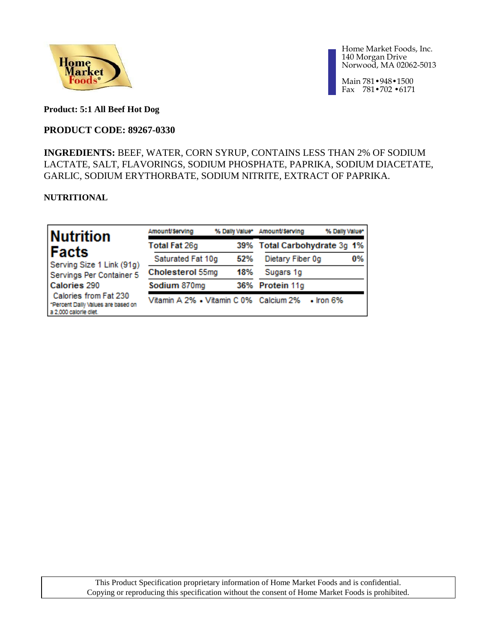

Main 781•948•1500 Fax 781•702 •6171

**Product: 5:1 All Beef Hot Dog**

## **PRODUCT CODE: 89267-0330**

## **INGREDIENTS:** BEEF, WATER, CORN SYRUP, CONTAINS LESS THAN 2% OF SODIUM LACTATE, SALT, FLAVORINGS, SODIUM PHOSPHATE, PAPRIKA, SODIUM DIACETATE, GARLIC, SODIUM ERYTHORBATE, SODIUM NITRITE, EXTRACT OF PAPRIKA.

### **NUTRITIONAL**

| Nutrition                                                                            | Amount/Serving                         |     | % Daily Value* Amount/Serving | % Daily Value*  |    |
|--------------------------------------------------------------------------------------|----------------------------------------|-----|-------------------------------|-----------------|----|
| <b>IFacts</b>                                                                        | <b>Total Fat 26g</b>                   |     | 39% Total Carbohydrate 3g 1%  |                 |    |
| Serving Size 1 Link (91g)                                                            | Saturated Fat 10q                      | 52% | Dietary Fiber 0g              |                 | 0% |
| Servings Per Container 5                                                             | Cholesterol 55mg                       | 18% | Sugars 1g                     |                 |    |
| Calories 290                                                                         | Sodium 870mg                           |     | 36% Protein 11g               |                 |    |
| Calories from Fat 230<br>*Percent Dally Values are based on<br>a 2,000 calorle diet. | Vitamin A 2% • Vitamin C 0% Calcium 2% |     |                               | $\cdot$ Iron 6% |    |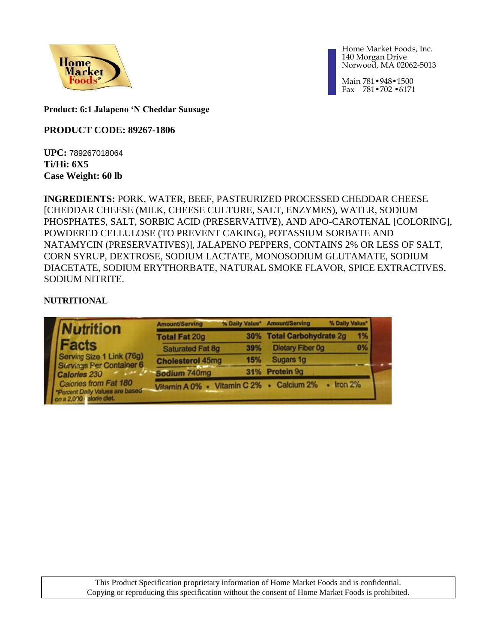

Main 781•948•1500 Fax 781•702 •6171

**Product: 6:1 Jalapeno 'N Cheddar Sausage**

## **PRODUCT CODE: 89267-1806**

**UPC:** 789267018064 **Ti/Hi: 6X5 Case Weight: 60 lb**

**INGREDIENTS:** PORK, WATER, BEEF, PASTEURIZED PROCESSED CHEDDAR CHEESE [CHEDDAR CHEESE (MILK, CHEESE CULTURE, SALT, ENZYMES), WATER, SODIUM PHOSPHATES, SALT, SORBIC ACID (PRESERVATIVE), AND APO-CAROTENAL [COLORING], POWDERED CELLULOSE (TO PREVENT CAKING), POTASSIUM SORBATE AND NATAMYCIN (PRESERVATIVES)], JALAPENO PEPPERS, CONTAINS 2% OR LESS OF SALT, CORN SYRUP, DEXTROSE, SODIUM LACTATE, MONOSODIUM GLUTAMATE, SODIUM DIACETATE, SODIUM ERYTHORBATE, NATURAL SMOKE FLAVOR, SPICE EXTRACTIVES, SODIUM NITRITE.

## **NUTRITIONAL**

| <b>Nutrition</b>                                                                                               | <b>Amount/Serving</b>   | % Daily Value" | <b>Amount/Serving</b>     | % Daily Value* |
|----------------------------------------------------------------------------------------------------------------|-------------------------|----------------|---------------------------|----------------|
|                                                                                                                | <b>Total Fat 20g</b>    |                | 30% Total Carbohydrate 2g | 1%             |
| Facts                                                                                                          | <b>Saturated Fat 8g</b> | 39%            | <b>Dietary Fiber Og</b>   | 0%             |
| Serving Size 1 Link (76g)                                                                                      | <b>Cholesterol 45mg</b> | 15%            | Sugars 1g                 |                |
| Servings Per Container 6<br>Calories 230                                                                       | Sodium 740mg            |                | 31% Protein 9g            |                |
| Calories from Fat 180<br>Calories from Fat 180<br>"Percent Daily Values are based"<br>on a 2,000 palorie diet. | Vitamin A 0% .          |                | Vitamin C 2% . Calcium 2% | Iron 2%        |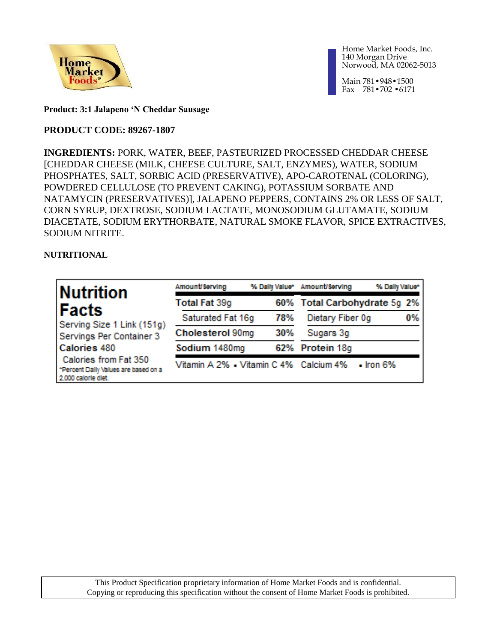

Main 781•948•1500 Fax 781•702 •6171

**Product: 3:1 Jalapeno 'N Cheddar Sausage**

## **PRODUCT CODE: 89267-1807**

**INGREDIENTS:** PORK, WATER, BEEF, PASTEURIZED PROCESSED CHEDDAR CHEESE [CHEDDAR CHEESE (MILK, CHEESE CULTURE, SALT, ENZYMES), WATER, SODIUM PHOSPHATES, SALT, SORBIC ACID (PRESERVATIVE), APO-CAROTENAL (COLORING), POWDERED CELLULOSE (TO PREVENT CAKING), POTASSIUM SORBATE AND NATAMYCIN (PRESERVATIVES)], JALAPENO PEPPERS, CONTAINS 2% OR LESS OF SALT, CORN SYRUP, DEXTROSE, SODIUM LACTATE, MONOSODIUM GLUTAMATE, SODIUM DIACETATE, SODIUM ERYTHORBATE, NATURAL SMOKE FLAVOR, SPICE EXTRACTIVES, SODIUM NITRITE.

**NUTRITIONAL**

| ∣Nutrition                                                                           | Amount/Serving                         |     | % Daily Value* Amount/Serving | % Daily Value* |
|--------------------------------------------------------------------------------------|----------------------------------------|-----|-------------------------------|----------------|
| ∣Facts                                                                               | <b>Total Fat 39g</b>                   |     | 60% Total Carbohydrate 5g 2%  |                |
| Serving Size 1 Link (151g)                                                           | Saturated Fat 16q                      | 78% | Dietary Fiber 0q              | 0%             |
| Servings Per Container 3                                                             | Cholesterol 90mg                       | 30% | Sugars 3g                     |                |
| Calories 480                                                                         | Sodium 1480mg                          |     | 62% Protein 18g               |                |
| Calories from Fat 350<br>"Percent Dally Values are based on a<br>2,000 calorle diet. | Vitamin A 2% • Vitamin C 4% Calcium 4% |     | $\cdot$ Iron 6%               |                |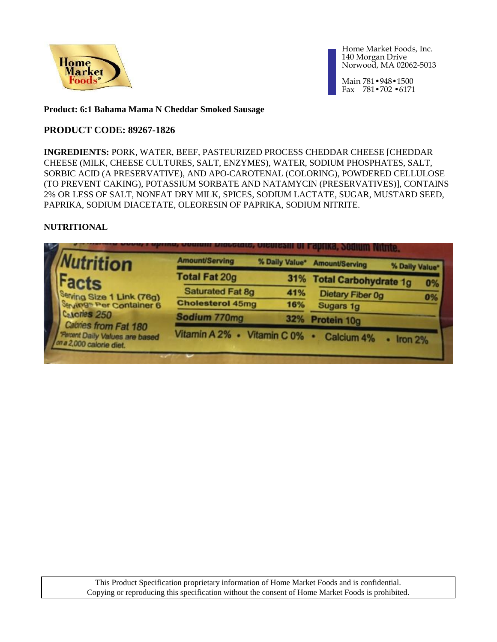

Main 781•948•1500 Fax 781•702 •6171

### **Product: 6:1 Bahama Mama N Cheddar Smoked Sausage**

### **PRODUCT CODE: 89267-1826**

**INGREDIENTS:** PORK, WATER, BEEF, PASTEURIZED PROCESS CHEDDAR CHEESE [CHEDDAR CHEESE (MILK, CHEESE CULTURES, SALT, ENZYMES), WATER, SODIUM PHOSPHATES, SALT, SORBIC ACID (A PRESERVATIVE), AND APO-CAROTENAL (COLORING), POWDERED CELLULOSE (TO PREVENT CAKING), POTASSIUM SORBATE AND NATAMYCIN (PRESERVATIVES)], CONTAINS 2% OR LESS OF SALT, NONFAT DRY MILK, SPICES, SODIUM LACTATE, SUGAR, MUSTARD SEED, PAPRIKA, SODIUM DIACETATE, OLEORESIN OF PAPRIKA, SODIUM NITRITE.

### **NUTRITIONAL**

| <b>Nutrition</b>                                                                   | <b>Amount/Serving</b>       | % Daily Value* | <b>Amount/Serving</b>     | % Daily Value* |
|------------------------------------------------------------------------------------|-----------------------------|----------------|---------------------------|----------------|
| <b>Facts</b>                                                                       | <b>Total Fat 20g</b>        |                | 31% Total Carbohydrate 1g | 0%             |
| Serving Size 1 Link (76g)                                                          | <b>Saturated Fat 8g</b>     | 41%            | <b>Dietary Fiber 0g</b>   | 0%             |
| <b>Servings Per Container 6</b>                                                    | <b>Cholesterol 45mg</b>     | 16%            | Sugars 1g                 |                |
| Calones 250                                                                        | Sodium 770mg                | 32%            | Protein 10g               |                |
| Cabries from Fat 180<br>Parzent Daily Values are based<br>on a 2,000 calorie diet. | Vitamin A 2% · Vitamin C 0% |                | <b>Calcium 4%</b>         | Iron 2%        |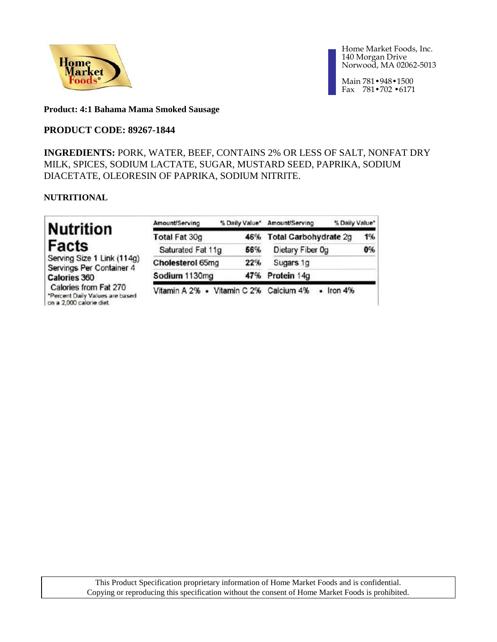

Main 781•948•1500 Fax 781•702 •6171

### **Product: 4:1 Bahama Mama Smoked Sausage**

## **PRODUCT CODE: 89267-1844**

**INGREDIENTS:** PORK, WATER, BEEF, CONTAINS 2% OR LESS OF SALT, NONFAT DRY MILK, SPICES, SODIUM LACTATE, SUGAR, MUSTARD SEED, PAPRIKA, SODIUM DIACETATE, OLEORESIN OF PAPRIKA, SODIUM NITRITE.

### **NUTRITIONAL**

| <b>Nutrition</b>                                                                     | Amount/Serving                         | % Daily Value* | % Daily Value*<br>Amount/Serving |    |
|--------------------------------------------------------------------------------------|----------------------------------------|----------------|----------------------------------|----|
|                                                                                      | <b>Total Fat 30g</b>                   | 46%            | Total Carbohydrate 2g            | 1% |
| Facts                                                                                | Saturated Fat 11g                      | 56%            | Dietary Fiber Og                 | 0% |
| Serving Size 1 Link (114g)<br>Servings Per Container 4                               | Cholesterol 65mg                       | 22%            | Sugars 1g                        |    |
| <b>Calories 360</b>                                                                  | Sodium 1130mg                          |                | 47% Protein 14g                  |    |
| Calories from Fat 270<br>*Percent Daily Values are based<br>on a 2,000 calorie diet. | Vitamin A 2% • Vitamin C 2% Calcium 4% |                | $-$ Iron $4\%$                   |    |